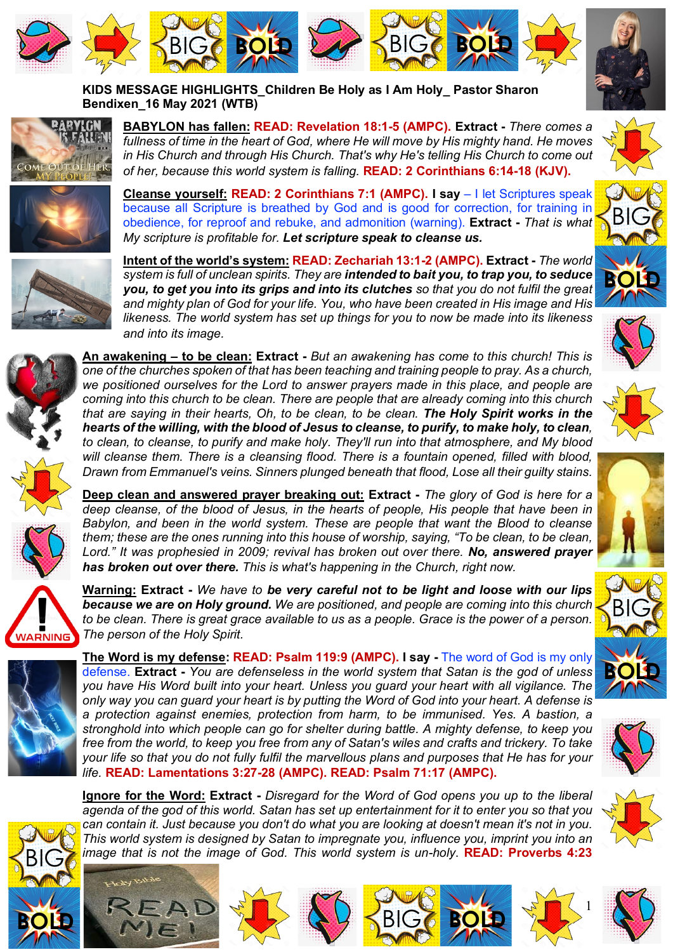







**KIDS MESSAGE HIGHLIGHTS\_Children Be Holy as I Am Holy\_ Pastor Sharon Bendixen\_16 May 2021 (WTB)**



**BABYLON has fallen: READ: Revelation 18:1-5 (AMPC). Extract -** *There comes a fullness of time in the heart of God, where He will move by His mighty hand. He moves in His Church and through His Church. That's why He's telling His Church to come out of her, because this world system is falling.* **READ: 2 Corinthians 6:14-18 (KJV).**



**Cleanse yourself: READ: 2 Corinthians 7:1 (AMPC). I say** – I let Scriptures speak because all Scripture is breathed by God and is good for correction, for training in obedience, for reproof and rebuke, and admonition (warning). **Extract -** *That is what My scripture is profitable for. Let scripture speak to cleanse us.*



**Intent of the world's system: READ: Zechariah 13:1-2 (AMPC). Extract -** *The world system is full of unclean spirits. They are intended to bait you, to trap you, to seduce you, to get you into its grips and into its clutches so that you do not fulfil the great and mighty plan of God for your life. You, who have been created in His image and His likeness. The world system has set up things for you to now be made into its likeness and into its image.* 



**An awakening – to be clean: Extract -** *But an awakening has come to this church! This is one of the churches spoken of that has been teaching and training people to pray. As a church,*  we positioned ourselves for the Lord to answer prayers made in this place, and people are *coming into this church to be clean. There are people that are already coming into this church that are saying in their hearts, Oh, to be clean, to be clean. The Holy Spirit works in the hearts of the willing, with the blood of Jesus to cleanse, to purify, to make holy, to clean, to clean, to cleanse, to purify and make holy. They'll run into that atmosphere, and My blood will cleanse them. There is a cleansing flood. There is a fountain opened, filled with blood, Drawn from Emmanuel's veins. Sinners plunged beneath that flood, Lose all their guilty stains.*

**Deep clean and answered prayer breaking out: Extract -** *The glory of God is here for a deep cleanse, of the blood of Jesus, in the hearts of people, His people that have been in Babylon, and been in the world system. These are people that want the Blood to cleanse them; these are the ones running into this house of worship, saying, "To be clean, to be clean, Lord." It was prophesied in 2009; revival has broken out over there. No, answered prayer has broken out over there. This is what's happening in the Church, right now.*



**Warning: Extract -** *We have to be very careful not to be light and loose with our lips because we are on Holy ground. We are positioned, and people are coming into this church to be clean. There is great grace available to us as a people. Grace is the power of a person. The person of the Holy Spirit.*



BIG

**The Word is my defense: READ: Psalm 119:9 (AMPC). I say -** The word of God is my only defense. **Extract -** *You are defenseless in the world system that Satan is the god of unless you have His Word built into your heart. Unless you guard your heart with all vigilance. The only way you can guard your heart is by putting the Word of God into your heart. A defense is a protection against enemies, protection from harm, to be immunised. Yes. A bastion, a stronghold into which people can go for shelter during battle. A mighty defense, to keep you free from the world, to keep you free from any of Satan's wiles and crafts and trickery. To take your life so that you do not fully fulfil the marvellous plans and purposes that He has for your life.* **READ: Lamentations 3:27-28 (AMPC). READ: Psalm 71:17 (AMPC).**

**Ignore for the Word: Extract -** *Disregard for the Word of God opens you up to the liberal agenda of the god of this world. Satan has set up entertainment for it to enter you so that you can contain it. Just because you don't do what you are looking at doesn't mean it's not in you. This world system is designed by Satan to impregnate you, influence you, imprint you into an image that is not the image of God. This world system is un-holy*. **READ: Proverbs 4:23** 





















1



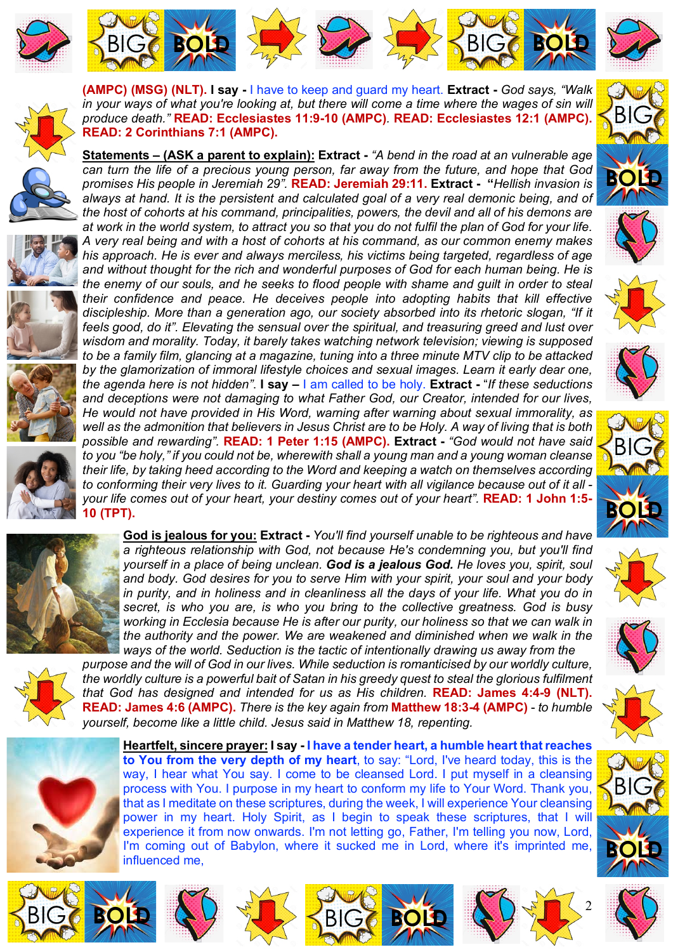



**(AMPC) (MSG) (NLT). I say -** I have to keep and guard my heart. **Extract -** *God says, "Walk*  in your ways of what you're looking at, but there will come a time where the wages of sin will



**READ: 2 Corinthians 7:1 (AMPC).**









**Statements – (ASK a parent to explain): Extract -** *"A bend in the road at an vulnerable age can turn the life of a precious young person, far away from the future, and hope that God promises His people in Jeremiah 29".* **READ: Jeremiah 29:11. Extract - "***Hellish invasion is always at hand. It is the persistent and calculated goal of a very real demonic being, and of the host of cohorts at his command, principalities, powers, the devil and all of his demons are at work in the world system, to attract you so that you do not fulfil the plan of God for your life. A very real being and with a host of cohorts at his command, as our common enemy makes his approach. He is ever and always merciless, his victims being targeted, regardless of age and without thought for the rich and wonderful purposes of God for each human being. He is the enemy of our souls, and he seeks to flood people with shame and guilt in order to steal their confidence and peace. He deceives people into adopting habits that kill effective discipleship. More than a generation ago, our society absorbed into its rhetoric slogan, "If it feels good, do it". Elevating the sensual over the spiritual, and treasuring greed and lust over wisdom and morality. Today, it barely takes watching network television; viewing is supposed to be a family film, glancing at a magazine, tuning into a three minute MTV clip to be attacked by the glamorization of immoral lifestyle choices and sexual images. Learn it early dear one, the agenda here is not hidden"*. **I say –** I am called to be holy. **Extract -** "*If these seductions and deceptions were not damaging to what Father God, our Creator, intended for our lives, He would not have provided in His Word, warning after warning about sexual immorality, as well as the admonition that believers in Jesus Christ are to be Holy. A way of living that is both possible and rewarding".* **READ: 1 Peter 1:15 (AMPC). Extract -** *"God would not have said* 

*to you "be holy," if you could not be, wherewith shall a young man and a young woman cleanse their life, by taking heed according to the Word and keeping a watch on themselves according to conforming their very lives to it. Guarding your heart with all vigilance because out of it all your life comes out of your heart, your destiny comes out of your heart".* **READ: 1 John 1:5- 10 (TPT).** 



**God is jealous for you: Extract -** *You'll find yourself unable to be righteous and have a righteous relationship with God, not because He's condemning you, but you'll find yourself in a place of being unclean. God is a jealous God. He loves you, spirit, soul and body. God desires for you to serve Him with your spirit, your soul and your body in purity, and in holiness and in cleanliness all the days of your life. What you do in secret, is who you are, is who you bring to the collective greatness. God is busy working in Ecclesia because He is after our purity, our holiness so that we can walk in the authority and the power. We are weakened and diminished when we walk in the ways of the world. Seduction is the tactic of intentionally drawing us away from the* 



*purpose and the will of God in our lives. While seduction is romanticised by our worldly culture, the worldly culture is a powerful bait of Satan in his greedy quest to steal the glorious fulfilment that God has designed and intended for us as His children.* **READ: James 4:4-9 (NLT). READ: James 4:6 (AMPC).** *There is the key again from* **Matthew 18:3-4 (AMPC)** - *to humble yourself, become like a little child. Jesus said in Matthew 18, repenting.*







BIG